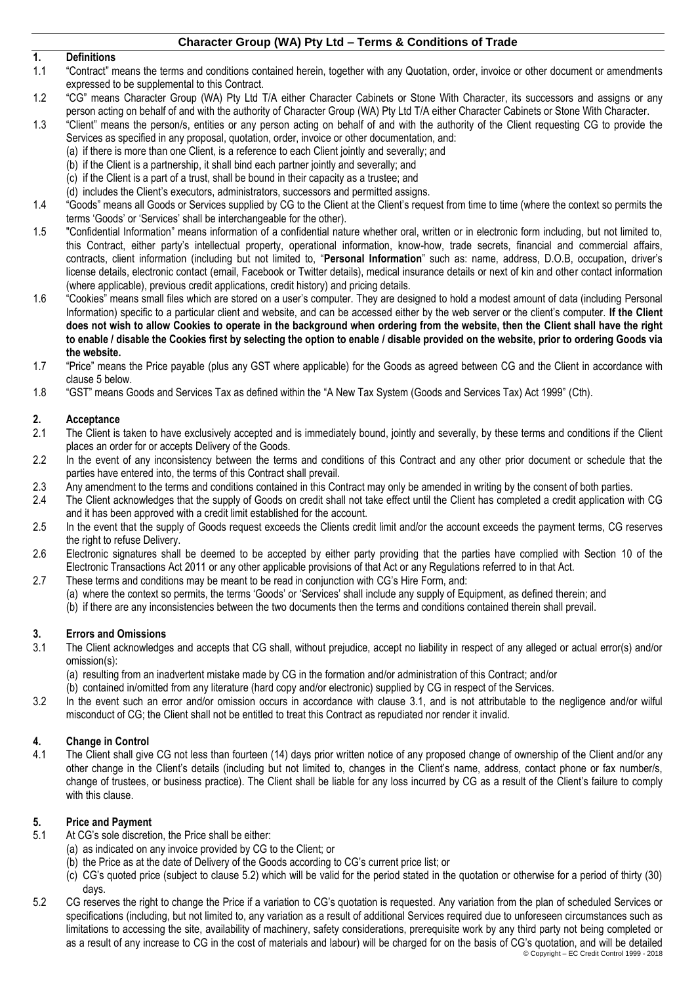# **1. Definitions**

- 1.1 "Contract" means the terms and conditions contained herein, together with any Quotation, order, invoice or other document or amendments expressed to be supplemental to this Contract.
- 1.2 "CG" means Character Group (WA) Pty Ltd T/A either Character Cabinets or Stone With Character, its successors and assigns or any person acting on behalf of and with the authority of Character Group (WA) Pty Ltd T/A either Character Cabinets or Stone With Character.
- 1.3 "Client" means the person/s, entities or any person acting on behalf of and with the authority of the Client requesting CG to provide the Services as specified in any proposal, quotation, order, invoice or other documentation, and:
	- (a) if there is more than one Client, is a reference to each Client jointly and severally; and
	- (b) if the Client is a partnership, it shall bind each partner jointly and severally; and
	- (c) if the Client is a part of a trust, shall be bound in their capacity as a trustee; and
	- (d) includes the Client's executors, administrators, successors and permitted assigns.
- 1.4 "Goods" means all Goods or Services supplied by CG to the Client at the Client's request from time to time (where the context so permits the terms 'Goods' or 'Services' shall be interchangeable for the other).
- 1.5 "Confidential Information" means information of a confidential nature whether oral, written or in electronic form including, but not limited to, this Contract, either party's intellectual property, operational information, know-how, trade secrets, financial and commercial affairs, contracts, client information (including but not limited to, "**Personal Information**" such as: name, address, D.O.B, occupation, driver's license details, electronic contact (email, Facebook or Twitter details), medical insurance details or next of kin and other contact information (where applicable), previous credit applications, credit history) and pricing details.
- 1.6 "Cookies" means small files which are stored on a user's computer. They are designed to hold a modest amount of data (including Personal Information) specific to a particular client and website, and can be accessed either by the web server or the client's computer. **If the Client does not wish to allow Cookies to operate in the background when ordering from the website, then the Client shall have the right to enable / disable the Cookies first by selecting the option to enable / disable provided on the website, prior to ordering Goods via the website.**
- 1.7 "Price" means the Price payable (plus any GST where applicable) for the Goods as agreed between CG and the Client in accordance with claus[e 5](#page-0-0) below.
- 1.8 "GST" means Goods and Services Tax as defined within the "A New Tax System (Goods and Services Tax) Act 1999" (Cth).

# **2. Acceptance**

- 2.1 The Client is taken to have exclusively accepted and is immediately bound, jointly and severally, by these terms and conditions if the Client places an order for or accepts Delivery of the Goods.
- 2.2 In the event of any inconsistency between the terms and conditions of this Contract and any other prior document or schedule that the parties have entered into, the terms of this Contract shall prevail.
- 2.3 Any amendment to the terms and conditions contained in this Contract may only be amended in writing by the consent of both parties.<br>2.4 The Client acknowledges that the supply of Goods on credit shall not take effect u
- 2.4 The Client acknowledges that the supply of Goods on credit shall not take effect until the Client has completed a credit application with CG and it has been approved with a credit limit established for the account.
- 2.5 In the event that the supply of Goods request exceeds the Clients credit limit and/or the account exceeds the payment terms, CG reserves the right to refuse Delivery.
- 2.6 Electronic signatures shall be deemed to be accepted by either party providing that the parties have complied with Section 10 of the Electronic Transactions Act 2011 or any other applicable provisions of that Act or any Regulations referred to in that Act.
- 2.7 These terms and conditions may be meant to be read in conjunction with CG's Hire Form, and:
	- (a) where the context so permits, the terms 'Goods' or 'Services' shall include any supply of Equipment, as defined therein; and
	- (b) if there are any inconsistencies between the two documents then the terms and conditions contained therein shall prevail.

# **3. Errors and Omissions**

- <span id="page-0-1"></span>3.1 The Client acknowledges and accepts that CG shall, without prejudice, accept no liability in respect of any alleged or actual error(s) and/or omission(s):
	- (a) resulting from an inadvertent mistake made by CG in the formation and/or administration of this Contract; and/or
	- (b) contained in/omitted from any literature (hard copy and/or electronic) supplied by CG in respect of the Services.
- 3.2 In the event such an error and/or omission occurs in accordance with clause [3.1,](#page-0-1) and is not attributable to the negligence and/or wilful misconduct of CG; the Client shall not be entitled to treat this Contract as repudiated nor render it invalid.

# **4. Change in Control**

4.1 The Client shall give CG not less than fourteen (14) days prior written notice of any proposed change of ownership of the Client and/or any other change in the Client's details (including but not limited to, changes in the Client's name, address, contact phone or fax number/s, change of trustees, or business practice). The Client shall be liable for any loss incurred by CG as a result of the Client's failure to comply with this clause.

#### <span id="page-0-0"></span>**5. Price and Payment**

- 5.1 At CG's sole discretion, the Price shall be either:
	- (a) as indicated on any invoice provided by CG to the Client; or
	- (b) the Price as at the date of Delivery of the Goods according to CG's current price list; or
	- (c) CG's quoted price (subject to clause [5.2\)](#page-0-2) which will be valid for the period stated in the quotation or otherwise for a period of thirty (30) days.
- <span id="page-0-2"></span>© Copyright – EC Credit Control 1999 - 2018 5.2 CG reserves the right to change the Price if a variation to CG's quotation is requested. Any variation from the plan of scheduled Services or specifications (including, but not limited to, any variation as a result of additional Services required due to unforeseen circumstances such as limitations to accessing the site, availability of machinery, safety considerations, prerequisite work by any third party not being completed or as a result of any increase to CG in the cost of materials and labour) will be charged for on the basis of CG's quotation, and will be detailed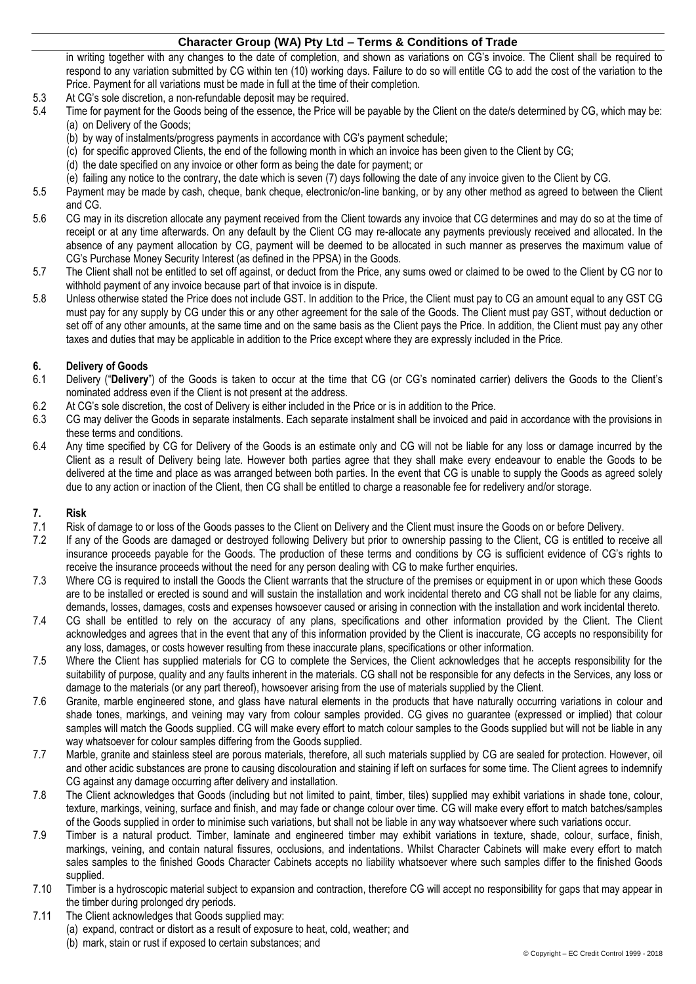in writing together with any changes to the date of completion, and shown as variations on CG's invoice. The Client shall be required to respond to any variation submitted by CG within ten (10) working days. Failure to do so will entitle CG to add the cost of the variation to the Price. Payment for all variations must be made in full at the time of their completion.

- 5.3 At CG's sole discretion, a non-refundable deposit may be required.<br>5.4 Time for payment for the Goods being of the essence, the Price wil
- Time for payment for the Goods being of the essence, the Price will be payable by the Client on the date/s determined by CG, which may be: (a) on Delivery of the Goods;
	- (b) by way of instalments/progress payments in accordance with CG's payment schedule;
	- (c) for specific approved Clients, the end of the following month in which an invoice has been given to the Client by CG;
	- (d) the date specified on any invoice or other form as being the date for payment; or
	- (e) failing any notice to the contrary, the date which is seven (7) days following the date of any invoice given to the Client by CG.
- 5.5 Payment may be made by cash, cheque, bank cheque, electronic/on-line banking, or by any other method as agreed to between the Client and CG.
- 5.6 CG may in its discretion allocate any payment received from the Client towards any invoice that CG determines and may do so at the time of receipt or at any time afterwards. On any default by the Client CG may re-allocate any payments previously received and allocated. In the absence of any payment allocation by CG, payment will be deemed to be allocated in such manner as preserves the maximum value of CG's Purchase Money Security Interest (as defined in the PPSA) in the Goods.
- 5.7 The Client shall not be entitled to set off against, or deduct from the Price, any sums owed or claimed to be owed to the Client by CG nor to withhold payment of any invoice because part of that invoice is in dispute.
- 5.8 Unless otherwise stated the Price does not include GST. In addition to the Price, the Client must pay to CG an amount equal to any GST CG must pay for any supply by CG under this or any other agreement for the sale of the Goods. The Client must pay GST, without deduction or set off of any other amounts, at the same time and on the same basis as the Client pays the Price. In addition, the Client must pay any other taxes and duties that may be applicable in addition to the Price except where they are expressly included in the Price.

# **6. Delivery of Goods**

- 6.1 Delivery ("**Delivery**") of the Goods is taken to occur at the time that CG (or CG's nominated carrier) delivers the Goods to the Client's nominated address even if the Client is not present at the address.
- 6.2 At CG's sole discretion, the cost of Delivery is either included in the Price or is in addition to the Price.
- 6.3 CG may deliver the Goods in separate instalments. Each separate instalment shall be invoiced and paid in accordance with the provisions in these terms and conditions.
- 6.4 Any time specified by CG for Delivery of the Goods is an estimate only and CG will not be liable for any loss or damage incurred by the Client as a result of Delivery being late. However both parties agree that they shall make every endeavour to enable the Goods to be delivered at the time and place as was arranged between both parties. In the event that CG is unable to supply the Goods as agreed solely due to any action or inaction of the Client, then CG shall be entitled to charge a reasonable fee for redelivery and/or storage.

#### **7. Risk**

- 7.1 Risk of damage to or loss of the Goods passes to the Client on Delivery and the Client must insure the Goods on or before Delivery.
- 7.2 If any of the Goods are damaged or destroyed following Delivery but prior to ownership passing to the Client, CG is entitled to receive all insurance proceeds payable for the Goods. The production of these terms and conditions by CG is sufficient evidence of CG's rights to receive the insurance proceeds without the need for any person dealing with CG to make further enquiries.
- 7.3 Where CG is required to install the Goods the Client warrants that the structure of the premises or equipment in or upon which these Goods are to be installed or erected is sound and will sustain the installation and work incidental thereto and CG shall not be liable for any claims, demands, losses, damages, costs and expenses howsoever caused or arising in connection with the installation and work incidental thereto.
- 7.4 CG shall be entitled to rely on the accuracy of any plans, specifications and other information provided by the Client. The Client acknowledges and agrees that in the event that any of this information provided by the Client is inaccurate, CG accepts no responsibility for any loss, damages, or costs however resulting from these inaccurate plans, specifications or other information.
- 7.5 Where the Client has supplied materials for CG to complete the Services, the Client acknowledges that he accepts responsibility for the suitability of purpose, quality and any faults inherent in the materials. CG shall not be responsible for any defects in the Services, any loss or damage to the materials (or any part thereof), howsoever arising from the use of materials supplied by the Client.
- 7.6 Granite, marble engineered stone, and glass have natural elements in the products that have naturally occurring variations in colour and shade tones, markings, and veining may vary from colour samples provided. CG gives no guarantee (expressed or implied) that colour samples will match the Goods supplied. CG will make every effort to match colour samples to the Goods supplied but will not be liable in any way whatsoever for colour samples differing from the Goods supplied.
- 7.7 Marble, granite and stainless steel are porous materials, therefore, all such materials supplied by CG are sealed for protection. However, oil and other acidic substances are prone to causing discolouration and staining if left on surfaces for some time. The Client agrees to indemnify CG against any damage occurring after delivery and installation.
- 7.8 The Client acknowledges that Goods (including but not limited to paint, timber, tiles) supplied may exhibit variations in shade tone, colour, texture, markings, veining, surface and finish, and may fade or change colour over time. CG will make every effort to match batches/samples of the Goods supplied in order to minimise such variations, but shall not be liable in any way whatsoever where such variations occur.
- 7.9 Timber is a natural product. Timber, laminate and engineered timber may exhibit variations in texture, shade, colour, surface, finish, markings, veining, and contain natural fissures, occlusions, and indentations. Whilst Character Cabinets will make every effort to match sales samples to the finished Goods Character Cabinets accepts no liability whatsoever where such samples differ to the finished Goods supplied.
- 7.10 Timber is a hydroscopic material subject to expansion and contraction, therefore CG will accept no responsibility for gaps that may appear in the timber during prolonged dry periods.
- 7.11 The Client acknowledges that Goods supplied may:
	- (a) expand, contract or distort as a result of exposure to heat, cold, weather; and
		- (b) mark, stain or rust if exposed to certain substances; and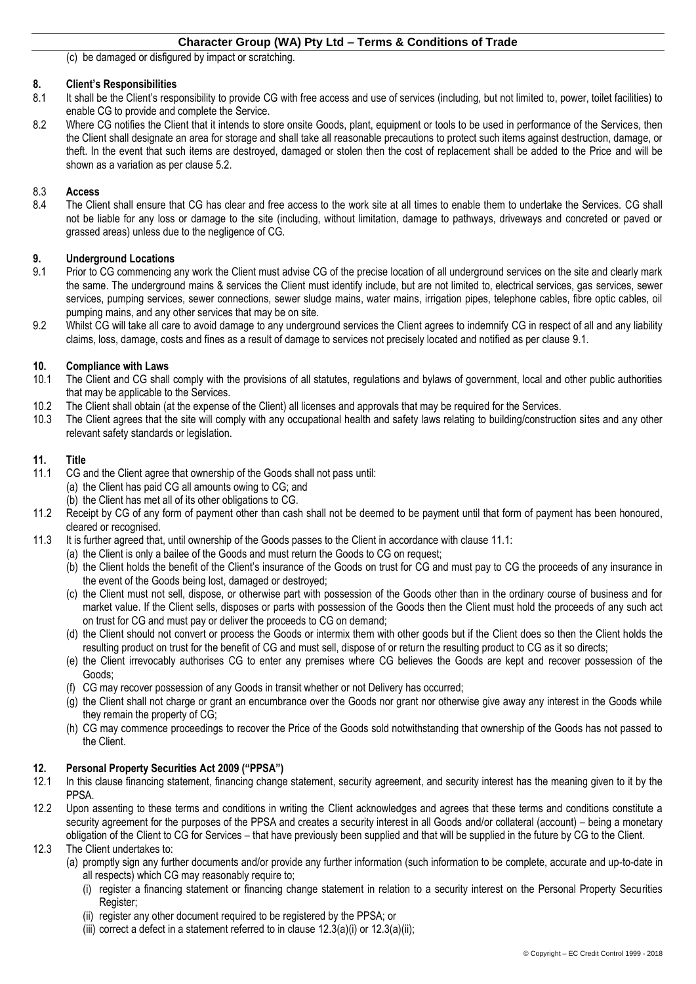(c) be damaged or disfigured by impact or scratching.

#### **8. Client's Responsibilities**

- 8.1 It shall be the Client's responsibility to provide CG with free access and use of services (including, but not limited to, power, toilet facilities) to enable CG to provide and complete the Service.
- 8.2 Where CG notifies the Client that it intends to store onsite Goods, plant, equipment or tools to be used in performance of the Services, then the Client shall designate an area for storage and shall take all reasonable precautions to protect such items against destruction, damage, or theft. In the event that such items are destroyed, damaged or stolen then the cost of replacement shall be added to the Price and will be shown as a variation as per clause [5.2.](#page-0-2)

# 8.3 **Access**

8.4 The Client shall ensure that CG has clear and free access to the work site at all times to enable them to undertake the Services. CG shall not be liable for any loss or damage to the site (including, without limitation, damage to pathways, driveways and concreted or paved or grassed areas) unless due to the negligence of CG.

#### **9. Underground Locations**

- <span id="page-2-0"></span>9.1 Prior to CG commencing any work the Client must advise CG of the precise location of all underground services on the site and clearly mark the same. The underground mains & services the Client must identify include, but are not limited to, electrical services, gas services, sewer services, pumping services, sewer connections, sewer sludge mains, water mains, irrigation pipes, telephone cables, fibre optic cables, oil pumping mains, and any other services that may be on site.
- 9.2 Whilst CG will take all care to avoid damage to any underground services the Client agrees to indemnify CG in respect of all and any liability claims, loss, damage, costs and fines as a result of damage to services not precisely located and notified as per clause [9.1.](#page-2-0)

#### **10. Compliance with Laws**

- 10.1 The Client and CG shall comply with the provisions of all statutes, regulations and bylaws of government, local and other public authorities that may be applicable to the Services.
- 10.2 The Client shall obtain (at the expense of the Client) all licenses and approvals that may be required for the Services.
- 10.3 The Client agrees that the site will comply with any occupational health and safety laws relating to building/construction sites and any other relevant safety standards or legislation.

#### **11. Title**

- <span id="page-2-1"></span>11.1 CG and the Client agree that ownership of the Goods shall not pass until:
	- (a) the Client has paid CG all amounts owing to CG; and
	- (b) the Client has met all of its other obligations to CG.
- 11.2 Receipt by CG of any form of payment other than cash shall not be deemed to be payment until that form of payment has been honoured, cleared or recognised.
- 11.3 It is further agreed that, until ownership of the Goods passes to the Client in accordance with clause [11.1:](#page-2-1)
	- (a) the Client is only a bailee of the Goods and must return the Goods to CG on request;
	- (b) the Client holds the benefit of the Client's insurance of the Goods on trust for CG and must pay to CG the proceeds of any insurance in the event of the Goods being lost, damaged or destroyed;
	- (c) the Client must not sell, dispose, or otherwise part with possession of the Goods other than in the ordinary course of business and for market value. If the Client sells, disposes or parts with possession of the Goods then the Client must hold the proceeds of any such act on trust for CG and must pay or deliver the proceeds to CG on demand;
	- (d) the Client should not convert or process the Goods or intermix them with other goods but if the Client does so then the Client holds the resulting product on trust for the benefit of CG and must sell, dispose of or return the resulting product to CG as it so directs;
	- (e) the Client irrevocably authorises CG to enter any premises where CG believes the Goods are kept and recover possession of the Goods;
	- (f) CG may recover possession of any Goods in transit whether or not Delivery has occurred;
	- (g) the Client shall not charge or grant an encumbrance over the Goods nor grant nor otherwise give away any interest in the Goods while they remain the property of CG;
	- (h) CG may commence proceedings to recover the Price of the Goods sold notwithstanding that ownership of the Goods has not passed to the Client.

# <span id="page-2-6"></span>**12. Personal Property Securities Act 2009 ("PPSA")**

- 12.1 In this clause financing statement, financing change statement, security agreement, and security interest has the meaning given to it by the PPSA.
- 12.2 Upon assenting to these terms and conditions in writing the Client acknowledges and agrees that these terms and conditions constitute a security agreement for the purposes of the PPSA and creates a security interest in all Goods and/or collateral (account) – being a monetary obligation of the Client to CG for Services – that have previously been supplied and that will be supplied in the future by CG to the Client.
- <span id="page-2-5"></span><span id="page-2-4"></span><span id="page-2-3"></span><span id="page-2-2"></span>12.3 The Client undertakes to:
	- (a) promptly sign any further documents and/or provide any further information (such information to be complete, accurate and up-to-date in all respects) which CG may reasonably require to;
		- (i) register a financing statement or financing change statement in relation to a security interest on the Personal Property Securities Register;
		- (ii) register any other document required to be registered by the PPSA; or
		- (iii) correct a defect in a statement referred to in clause  $12.3(a)(i)$  $12.3(a)(i)$  $12.3(a)(i)$  or  $12.3(a)(ii)$ ;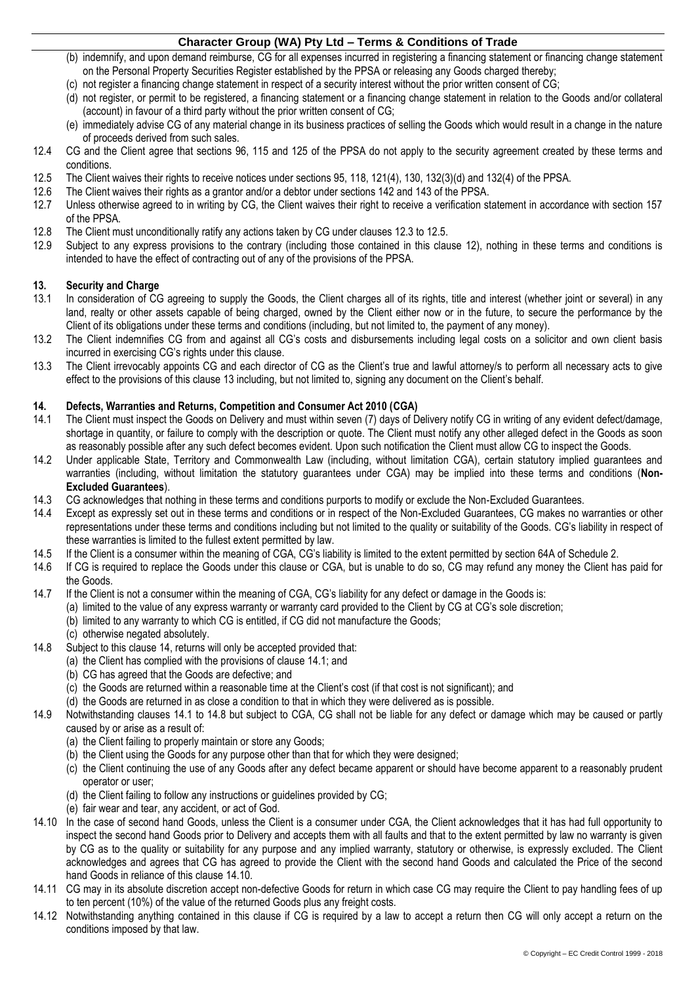- (b) indemnify, and upon demand reimburse, CG for all expenses incurred in registering a financing statement or financing change statement on the Personal Property Securities Register established by the PPSA or releasing any Goods charged thereby;
- (c) not register a financing change statement in respect of a security interest without the prior written consent of CG;
- (d) not register, or permit to be registered, a financing statement or a financing change statement in relation to the Goods and/or collateral (account) in favour of a third party without the prior written consent of CG;
- (e) immediately advise CG of any material change in its business practices of selling the Goods which would result in a change in the nature of proceeds derived from such sales.
- 12.4 CG and the Client agree that sections 96, 115 and 125 of the PPSA do not apply to the security agreement created by these terms and conditions.
- <span id="page-3-0"></span>12.5 The Client waives their rights to receive notices under sections 95, 118, 121(4), 130, 132(3)(d) and 132(4) of the PPSA.<br>12.6 The Client waives their rights as a grantor and/or a debtor under sections 142 and 143 of t
- The Client waives their rights as a grantor and/or a debtor under sections 142 and 143 of the PPSA.
- 12.7 Unless otherwise agreed to in writing by CG, the Client waives their right to receive a verification statement in accordance with section 157 of the PPSA.
- 12.8 The Client must unconditionally ratify any actions taken by CG under clauses [12.3](#page-2-2) to [12.5.](#page-3-0)
- 12.9 Subject to any express provisions to the contrary (including those contained in this clause [12\)](#page-2-6), nothing in these terms and conditions is intended to have the effect of contracting out of any of the provisions of the PPSA.

#### <span id="page-3-1"></span>**13. Security and Charge**

- 13.1 In consideration of CG agreeing to supply the Goods, the Client charges all of its rights, title and interest (whether joint or several) in any land, realty or other assets capable of being charged, owned by the Client either now or in the future, to secure the performance by the Client of its obligations under these terms and conditions (including, but not limited to, the payment of any money).
- 13.2 The Client indemnifies CG from and against all CG's costs and disbursements including legal costs on a solicitor and own client basis incurred in exercising CG's rights under this clause.
- 13.3 The Client irrevocably appoints CG and each director of CG as the Client's true and lawful attorney/s to perform all necessary acts to give effect to the provisions of this clause [13](#page-3-1) including, but not limited to, signing any document on the Client's behalf.

#### <span id="page-3-2"></span>**14. Defects, Warranties and Returns, Competition and Consumer Act 2010 (CGA)**

- <span id="page-3-3"></span>14.1 The Client must inspect the Goods on Delivery and must within seven (7) days of Delivery notify CG in writing of any evident defect/damage, shortage in quantity, or failure to comply with the description or quote. The Client must notify any other alleged defect in the Goods as soon as reasonably possible after any such defect becomes evident. Upon such notification the Client must allow CG to inspect the Goods.
- 14.2 Under applicable State, Territory and Commonwealth Law (including, without limitation CGA), certain statutory implied guarantees and warranties (including, without limitation the statutory guarantees under CGA) may be implied into these terms and conditions (**Non-Excluded Guarantees**).
- 14.3 CG acknowledges that nothing in these terms and conditions purports to modify or exclude the Non-Excluded Guarantees.
- 14.4 Except as expressly set out in these terms and conditions or in respect of the Non-Excluded Guarantees, CG makes no warranties or other representations under these terms and conditions including but not limited to the quality or suitability of the Goods. CG's liability in respect of these warranties is limited to the fullest extent permitted by law.
- 14.5 If the Client is a consumer within the meaning of CGA, CG's liability is limited to the extent permitted by section 64A of Schedule 2.
- 14.6 If CG is required to replace the Goods under this clause or CGA, but is unable to do so, CG may refund any money the Client has paid for the Goods.
- 14.7 If the Client is not a consumer within the meaning of CGA, CG's liability for any defect or damage in the Goods is:
	- (a) limited to the value of any express warranty or warranty card provided to the Client by CG at CG's sole discretion;
		- (b) limited to any warranty to which CG is entitled, if CG did not manufacture the Goods;
		- (c) otherwise negated absolutely.
- <span id="page-3-4"></span>14.8 Subject to this clause [14,](#page-3-2) returns will only be accepted provided that:
	- (a) the Client has complied with the provisions of clause [14.1;](#page-3-3) and
	- (b) CG has agreed that the Goods are defective; and
	- (c) the Goods are returned within a reasonable time at the Client's cost (if that cost is not significant); and
	- (d) the Goods are returned in as close a condition to that in which they were delivered as is possible.
- 14.9 Notwithstanding clauses [14.1](#page-3-3) to [14.8](#page-3-4) but subject to CGA, CG shall not be liable for any defect or damage which may be caused or partly caused by or arise as a result of:
	- (a) the Client failing to properly maintain or store any Goods;
	- (b) the Client using the Goods for any purpose other than that for which they were designed;
	- (c) the Client continuing the use of any Goods after any defect became apparent or should have become apparent to a reasonably prudent operator or user;
	- (d) the Client failing to follow any instructions or guidelines provided by CG;
	- (e) fair wear and tear, any accident, or act of God.
- <span id="page-3-5"></span>14.10 In the case of second hand Goods, unless the Client is a consumer under CGA, the Client acknowledges that it has had full opportunity to inspect the second hand Goods prior to Delivery and accepts them with all faults and that to the extent permitted by law no warranty is given by CG as to the quality or suitability for any purpose and any implied warranty, statutory or otherwise, is expressly excluded. The Client acknowledges and agrees that CG has agreed to provide the Client with the second hand Goods and calculated the Price of the second hand Goods in reliance of this claus[e 14.10.](#page-3-5)
- 14.11 CG may in its absolute discretion accept non-defective Goods for return in which case CG may require the Client to pay handling fees of up to ten percent (10%) of the value of the returned Goods plus any freight costs.
- 14.12 Notwithstanding anything contained in this clause if CG is required by a law to accept a return then CG will only accept a return on the conditions imposed by that law.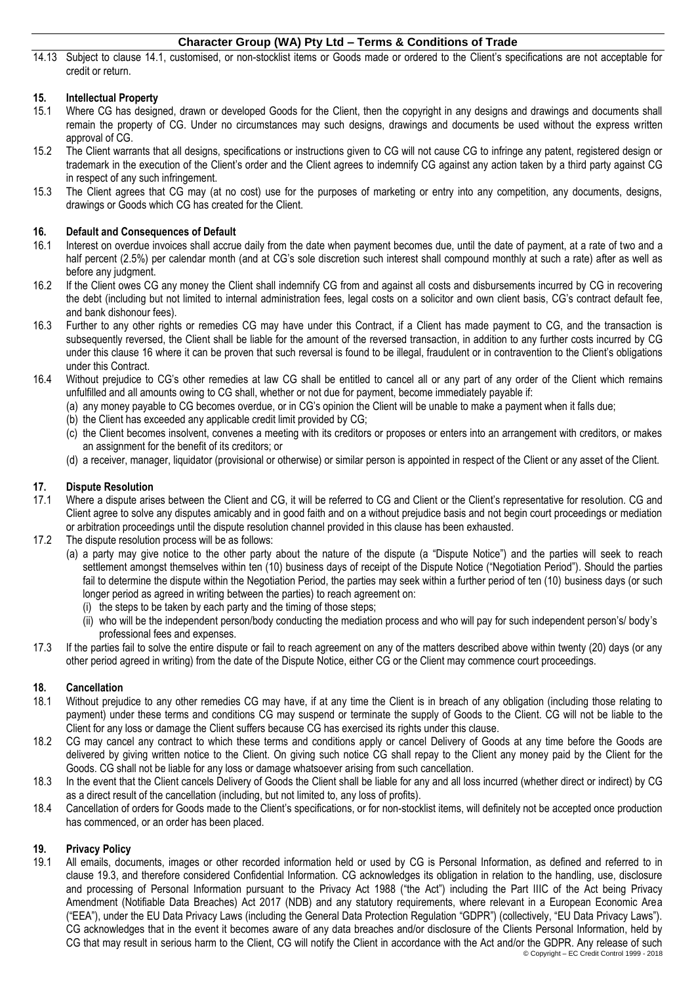14.13 Subject to clause [14.1,](#page-3-3) customised, or non-stocklist items or Goods made or ordered to the Client's specifications are not acceptable for credit or return.

# **15. Intellectual Property**

- 15.1 Where CG has designed, drawn or developed Goods for the Client, then the copyright in any designs and drawings and documents shall remain the property of CG. Under no circumstances may such designs, drawings and documents be used without the express written approval of CG.
- 15.2 The Client warrants that all designs, specifications or instructions given to CG will not cause CG to infringe any patent, registered design or trademark in the execution of the Client's order and the Client agrees to indemnify CG against any action taken by a third party against CG in respect of any such infringement.
- 15.3 The Client agrees that CG may (at no cost) use for the purposes of marketing or entry into any competition, any documents, designs, drawings or Goods which CG has created for the Client.

# <span id="page-4-0"></span>**16. Default and Consequences of Default**

- 16.1 Interest on overdue invoices shall accrue daily from the date when payment becomes due, until the date of payment, at a rate of two and a half percent (2.5%) per calendar month (and at CG's sole discretion such interest shall compound monthly at such a rate) after as well as before any judgment.
- 16.2 If the Client owes CG any money the Client shall indemnify CG from and against all costs and disbursements incurred by CG in recovering the debt (including but not limited to internal administration fees, legal costs on a solicitor and own client basis, CG's contract default fee, and bank dishonour fees).
- 16.3 Further to any other rights or remedies CG may have under this Contract, if a Client has made payment to CG, and the transaction is subsequently reversed, the Client shall be liable for the amount of the reversed transaction, in addition to any further costs incurred by CG under this clause [16](#page-4-0) where it can be proven that such reversal is found to be illegal, fraudulent or in contravention to the Client's obligations under this Contract.
- 16.4 Without prejudice to CG's other remedies at law CG shall be entitled to cancel all or any part of any order of the Client which remains unfulfilled and all amounts owing to CG shall, whether or not due for payment, become immediately payable if:
	- (a) any money payable to CG becomes overdue, or in CG's opinion the Client will be unable to make a payment when it falls due;
	- (b) the Client has exceeded any applicable credit limit provided by CG;
	- (c) the Client becomes insolvent, convenes a meeting with its creditors or proposes or enters into an arrangement with creditors, or makes an assignment for the benefit of its creditors; or
	- (d) a receiver, manager, liquidator (provisional or otherwise) or similar person is appointed in respect of the Client or any asset of the Client.

# **17. Dispute Resolution**

- 17.1 Where a dispute arises between the Client and CG, it will be referred to CG and Client or the Client's representative for resolution. CG and Client agree to solve any disputes amicably and in good faith and on a without prejudice basis and not begin court proceedings or mediation or arbitration proceedings until the dispute resolution channel provided in this clause has been exhausted.
- 17.2 The dispute resolution process will be as follows:
	- (a) a party may give notice to the other party about the nature of the dispute (a "Dispute Notice") and the parties will seek to reach settlement amongst themselves within ten (10) business days of receipt of the Dispute Notice ("Negotiation Period"). Should the parties fail to determine the dispute within the Negotiation Period, the parties may seek within a further period of ten (10) business days (or such longer period as agreed in writing between the parties) to reach agreement on:
		- (i) the steps to be taken by each party and the timing of those steps;
		- (ii) who will be the independent person/body conducting the mediation process and who will pay for such independent person's/ body's professional fees and expenses.
- 17.3 If the parties fail to solve the entire dispute or fail to reach agreement on any of the matters described above within twenty (20) days (or any other period agreed in writing) from the date of the Dispute Notice, either CG or the Client may commence court proceedings.

# **18. Cancellation**

- 18.1 Without prejudice to any other remedies CG may have, if at any time the Client is in breach of any obligation (including those relating to payment) under these terms and conditions CG may suspend or terminate the supply of Goods to the Client. CG will not be liable to the Client for any loss or damage the Client suffers because CG has exercised its rights under this clause.
- 18.2 CG may cancel any contract to which these terms and conditions apply or cancel Delivery of Goods at any time before the Goods are delivered by giving written notice to the Client. On giving such notice CG shall repay to the Client any money paid by the Client for the Goods. CG shall not be liable for any loss or damage whatsoever arising from such cancellation.
- 18.3 In the event that the Client cancels Delivery of Goods the Client shall be liable for any and all loss incurred (whether direct or indirect) by CG as a direct result of the cancellation (including, but not limited to, any loss of profits).
- 18.4 Cancellation of orders for Goods made to the Client's specifications, or for non-stocklist items, will definitely not be accepted once production has commenced, or an order has been placed.

# **19. Privacy Policy**

<span id="page-4-1"></span>© Copyright – EC Credit Control 1999 - 2018 19.1 All emails, documents, images or other recorded information held or used by CG is Personal Information, as defined and referred to in clause [19.3,](#page-5-0) and therefore considered Confidential Information. CG acknowledges its obligation in relation to the handling, use, disclosure and processing of Personal Information pursuant to the Privacy Act 1988 ("the Act") including the Part IIIC of the Act being Privacy Amendment (Notifiable Data Breaches) Act 2017 (NDB) and any statutory requirements, where relevant in a European Economic Area ("EEA"), under the EU Data Privacy Laws (including the General Data Protection Regulation "GDPR") (collectively, "EU Data Privacy Laws"). CG acknowledges that in the event it becomes aware of any data breaches and/or disclosure of the Clients Personal Information, held by CG that may result in serious harm to the Client, CG will notify the Client in accordance with the Act and/or the GDPR. Any release of such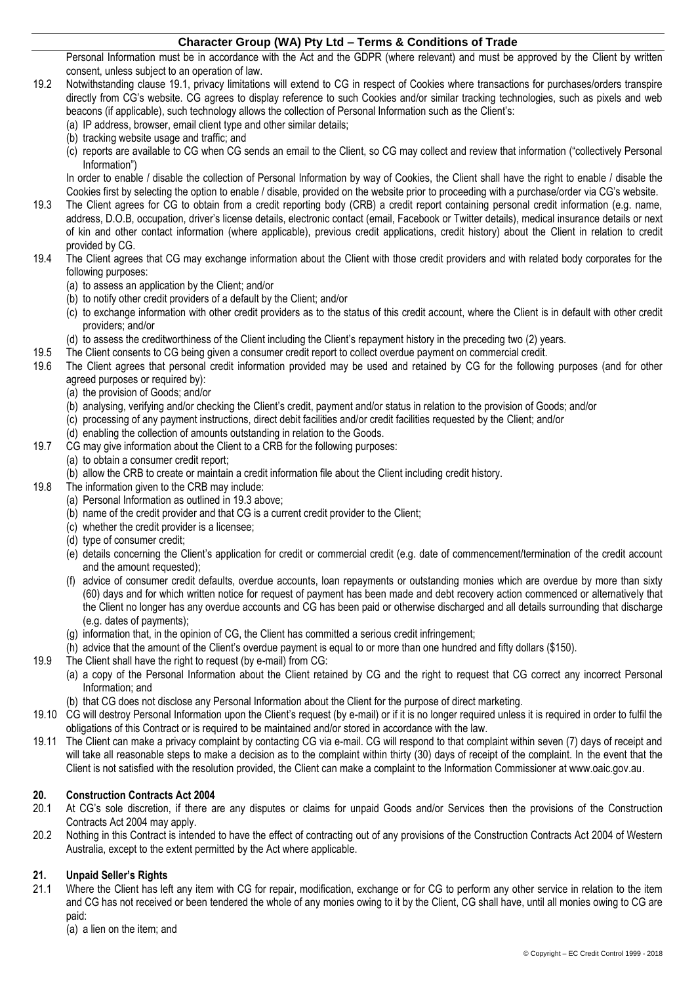Personal Information must be in accordance with the Act and the GDPR (where relevant) and must be approved by the Client by written consent, unless subject to an operation of law.

- 19.2 Notwithstanding clause [19.1,](#page-4-1) privacy limitations will extend to CG in respect of Cookies where transactions for purchases/orders transpire directly from CG's website. CG agrees to display reference to such Cookies and/or similar tracking technologies, such as pixels and web beacons (if applicable), such technology allows the collection of Personal Information such as the Client's:
	- (a) IP address, browser, email client type and other similar details;
	- (b) tracking website usage and traffic; and
	- (c) reports are available to CG when CG sends an email to the Client, so CG may collect and review that information ("collectively Personal Information")

In order to enable / disable the collection of Personal Information by way of Cookies, the Client shall have the right to enable / disable the Cookies first by selecting the option to enable / disable, provided on the website prior to proceeding with a purchase/order via CG's website.

- <span id="page-5-0"></span>19.3 The Client agrees for CG to obtain from a credit reporting body (CRB) a credit report containing personal credit information (e.g. name, address, D.O.B, occupation, driver's license details, electronic contact (email, Facebook or Twitter details), medical insurance details or next of kin and other contact information (where applicable), previous credit applications, credit history) about the Client in relation to credit provided by CG.
- 19.4 The Client agrees that CG may exchange information about the Client with those credit providers and with related body corporates for the following purposes:
	- (a) to assess an application by the Client; and/or
	- (b) to notify other credit providers of a default by the Client; and/or
	- (c) to exchange information with other credit providers as to the status of this credit account, where the Client is in default with other credit providers; and/or
	- (d) to assess the creditworthiness of the Client including the Client's repayment history in the preceding two (2) years.
- 19.5 The Client consents to CG being given a consumer credit report to collect overdue payment on commercial credit.<br>19.6 The Client agrees that personal credit information provided may be used and retained by CG for the f
- The Client agrees that personal credit information provided may be used and retained by CG for the following purposes (and for other agreed purposes or required by):
	- (a) the provision of Goods; and/or
	- (b) analysing, verifying and/or checking the Client's credit, payment and/or status in relation to the provision of Goods; and/or
	- (c) processing of any payment instructions, direct debit facilities and/or credit facilities requested by the Client; and/or
	- (d) enabling the collection of amounts outstanding in relation to the Goods.
- 19.7 CG may give information about the Client to a CRB for the following purposes:
	- (a) to obtain a consumer credit report;
	- (b) allow the CRB to create or maintain a credit information file about the Client including credit history.
- 19.8 The information given to the CRB may include:
	- (a) Personal Information as outlined i[n 19.3](#page-5-0) above;
	- (b) name of the credit provider and that CG is a current credit provider to the Client;
	- (c) whether the credit provider is a licensee;
	- (d) type of consumer credit;
	- (e) details concerning the Client's application for credit or commercial credit (e.g. date of commencement/termination of the credit account and the amount requested);
	- (f) advice of consumer credit defaults, overdue accounts, loan repayments or outstanding monies which are overdue by more than sixty (60) days and for which written notice for request of payment has been made and debt recovery action commenced or alternatively that the Client no longer has any overdue accounts and CG has been paid or otherwise discharged and all details surrounding that discharge (e.g. dates of payments);
	- (g) information that, in the opinion of CG, the Client has committed a serious credit infringement;
	- (h) advice that the amount of the Client's overdue payment is equal to or more than one hundred and fifty dollars (\$150).
- 19.9 The Client shall have the right to request (by e-mail) from CG:
	- (a) a copy of the Personal Information about the Client retained by CG and the right to request that CG correct any incorrect Personal Information; and
	- (b) that CG does not disclose any Personal Information about the Client for the purpose of direct marketing.
- 19.10 CG will destroy Personal Information upon the Client's request (by e-mail) or if it is no longer required unless it is required in order to fulfil the obligations of this Contract or is required to be maintained and/or stored in accordance with the law.
- 19.11 The Client can make a privacy complaint by contacting CG via e-mail. CG will respond to that complaint within seven (7) days of receipt and will take all reasonable steps to make a decision as to the complaint within thirty (30) days of receipt of the complaint. In the event that the Client is not satisfied with the resolution provided, the Client can make a complaint to the Information Commissioner at www.oaic.gov.au.

# **20. Construction Contracts Act 2004**

- 20.1 At CG's sole discretion, if there are any disputes or claims for unpaid Goods and/or Services then the provisions of the Construction Contracts Act 2004 may apply.
- 20.2 Nothing in this Contract is intended to have the effect of contracting out of any provisions of the Construction Contracts Act 2004 of Western Australia, except to the extent permitted by the Act where applicable.

#### **21. Unpaid Seller's Rights**

21.1 Where the Client has left any item with CG for repair, modification, exchange or for CG to perform any other service in relation to the item and CG has not received or been tendered the whole of any monies owing to it by the Client, CG shall have, until all monies owing to CG are paid:

(a) a lien on the item; and